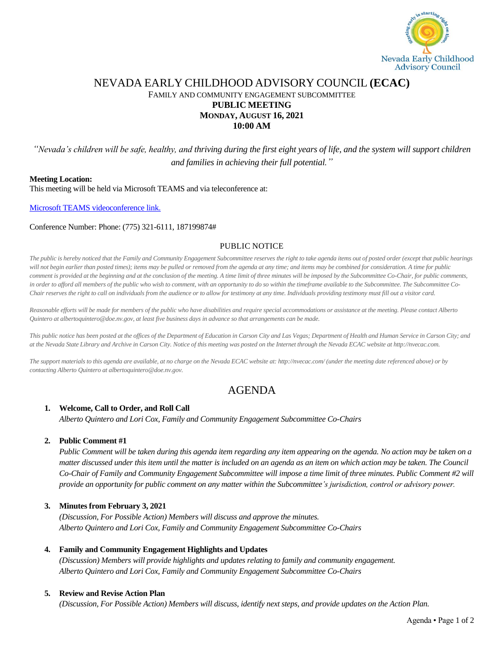

## NEVADA EARLY CHILDHOOD ADVISORY COUNCIL **(ECAC)** FAMILY AND COMMUNITY ENGAGEMENT SUBCOMMITTEE **PUBLIC MEETING MONDAY, AUGUST 16, 2021 10:00 AM**

*"Nevada's children will be safe, healthy, and thriving during the first eight years of life, and the system will support children and families in achieving their full potential."*

#### **Meeting Location:**

This meeting will be held via Microsoft TEAMS and via teleconference at:

[Microsoft TEAMS videoconference](https://teams.microsoft.com/l/meetup-join/19%3ameeting_NWJiNTQ4YWItNjBmYS00Mzk4LTkzMWYtYjAwZDVjNTlkOGM5%40thread.v2/0?context=%7b%22Tid%22%3a%22e4a340e6-b89e-4e68-8eaa-1544d2703980%22%2c%22Oid%22%3a%229cd8fa51-2258-4e41-a814-edb33e6c4f91%22%7d) link.

#### Conference Number: Phone: (775) 321-6111, 187199874#

## PUBLIC NOTICE

*The public is hereby noticed that the Family and Community Engagement Subcommittee reserves the right to take agenda items out of posted order (except that public hearings* will not begin earlier than posted times); items may be pulled or removed from the agenda at any time; and items may be combined for consideration. A time for public *comment is provided at the beginning and at the conclusion of the meeting. A time limit of three minutes will be imposed by the Subcommittee Co-Chair, for public comments,*  in order to afford all members of the public who wish to comment, with an opportunity to do so within the timeframe available to the Subcommittee. The Subcommittee Co-*Chair reserves the right to call on individuals from the audience or to allow for testimony at any time. Individuals providing testimony must fill out a visitor card.* 

*Reasonable efforts will be made for members of the public who have disabilities and require special accommodations or assistance at the meeting. Please contact Alberto Quintero at albertoquintero@doe.nv.gov, at least five business days in advance so that arrangements can be made.*

*This public notice has been posted at the offices of the Department of Education in Carson City and Las Vegas; Department of Health and Human Service in Carson City; and at the Nevada State Library and Archive in Carson City. Notice of this meeting was posted on the Internet through the Nevada ECAC website at http://nvecac.com.*

*The support materials to this agenda are available, at no charge on the Nevada ECAC website at: http://nvecac.com/ (under the meeting date referenced above) or by contacting Alberto Quintero at albertoquintero@doe.nv.gov.*

# AGENDA

## **1. Welcome, Call to Order, and Roll Call**

*Alberto Quintero and Lori Cox, Family and Community Engagement Subcommittee Co-Chairs*

## **2. Public Comment #1**

*Public Comment will be taken during this agenda item regarding any item appearing on the agenda. No action may be taken on a matter discussed under this item until the matter is included on an agenda as an item on which action may be taken. The Council Co-Chair of Family and Community Engagement Subcommittee will impose a time limit of three minutes. Public Comment #2 will provide an opportunity for public comment on any matter within the Subcommittee's jurisdiction, control or advisory power.*

## **3. Minutes from February 3, 2021**

*(Discussion, For Possible Action) Members will discuss and approve the minutes. Alberto Quintero and Lori Cox, Family and Community Engagement Subcommittee Co-Chairs*

## **4. Family and Community Engagement Highlights and Updates**

*(Discussion) Members will provide highlights and updates relating to family and community engagement. Alberto Quintero and Lori Cox, Family and Community Engagement Subcommittee Co-Chairs*

## **5. Review and Revise Action Plan**

*(Discussion, For Possible Action) Members will discuss, identify next steps, and provide updates on the Action Plan.*